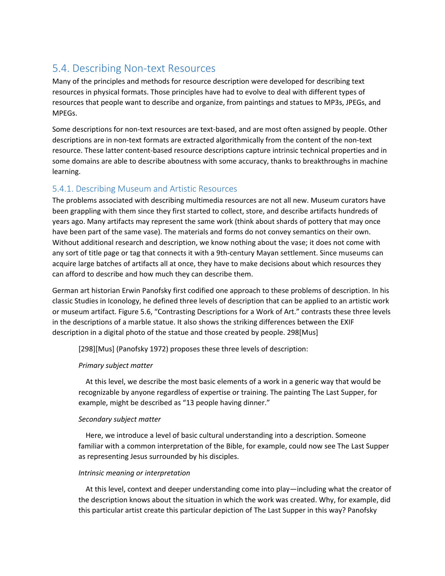# 5.4. Describing Non‐text Resources

Many of the principles and methods for resource description were developed for describing text resources in physical formats. Those principles have had to evolve to deal with different types of resources that people want to describe and organize, from paintings and statues to MP3s, JPEGs, and MPEGs.

Some descriptions for non-text resources are text-based, and are most often assigned by people. Other descriptions are in non-text formats are extracted algorithmically from the content of the non-text resource. These latter content‐based resource descriptions capture intrinsic technical properties and in some domains are able to describe aboutness with some accuracy, thanks to breakthroughs in machine learning.

## 5.4.1. Describing Museum and Artistic Resources

The problems associated with describing multimedia resources are not all new. Museum curators have been grappling with them since they first started to collect, store, and describe artifacts hundreds of years ago. Many artifacts may represent the same work (think about shards of pottery that may once have been part of the same vase). The materials and forms do not convey semantics on their own. Without additional research and description, we know nothing about the vase; it does not come with any sort of title page or tag that connects it with a 9th-century Mayan settlement. Since museums can acquire large batches of artifacts all at once, they have to make decisions about which resources they can afford to describe and how much they can describe them.

German art historian Erwin Panofsky first codified one approach to these problems of description. In his classic Studies in Iconology, he defined three levels of description that can be applied to an artistic work or museum artifact. Figure 5.6, "Contrasting Descriptions for a Work of Art." contrasts these three levels in the descriptions of a marble statue. It also shows the striking differences between the EXIF description in a digital photo of the statue and those created by people. 298[Mus]

[298][Mus] (Panofsky 1972) proposes these three levels of description:

## *Primary subject matter*

 At this level, we describe the most basic elements of a work in a generic way that would be recognizable by anyone regardless of expertise or training. The painting The Last Supper, for example, might be described as "13 people having dinner."

## *Secondary subject matter*

 Here, we introduce a level of basic cultural understanding into a description. Someone familiar with a common interpretation of the Bible, for example, could now see The Last Supper as representing Jesus surrounded by his disciples.

### *Intrinsic meaning or interpretation*

 At this level, context and deeper understanding come into play—including what the creator of the description knows about the situation in which the work was created. Why, for example, did this particular artist create this particular depiction of The Last Supper in this way? Panofsky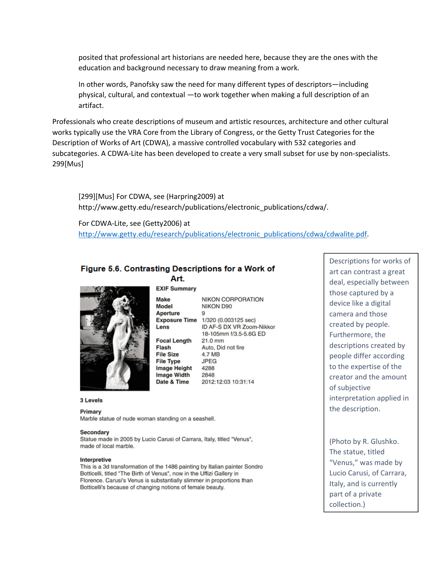posited that professional art historians are needed here, because they are the ones with the education and background necessary to draw meaning from a work.

In other words, Panofsky saw the need for many different types of descriptors—including physical, cultural, and contextual —to work together when making a full description of an artifact.

Professionals who create descriptions of museum and artistic resources, architecture and other cultural works typically use the VRA Core from the Library of Congress, or the Getty Trust Categories for the Description of Works of Art (CDWA), a massive controlled vocabulary with 532 categories and subcategories. A CDWA-Lite has been developed to create a very small subset for use by non-specialists. 299[Mus]

[299][Mus] For CDWA, see (Harpring2009) at http://www.getty.edu/research/publications/electronic\_publications/cdwa/.

For CDWA‐Lite, see (Getty2006) at http://www.getty.edu/research/publications/electronic\_publications/cdwa/cdwalite.pdf.

### Figure 5.6. Contrasting Descriptions for a Work of Art.



| <b>EXIF Summary</b>  |                           |
|----------------------|---------------------------|
| Make                 | NIKON CORPORATION         |
| Model                | NIKON D90                 |
| Aperture             | 9                         |
| <b>Exposure Time</b> | 1/320 (0.003125 sec)      |
| Lens                 | ID AF-S DX VR Zoom-Nikkor |
|                      | 18-105mm f/3.5-5.6G ED    |
| <b>Focal Length</b>  | 21.0 mm                   |
| Flash                | Auto, Did not fire        |
| <b>File Size</b>     | 4.7 MB                    |
| <b>File Type</b>     | <b>JPEG</b>               |
| Image Height         | 4288                      |
| Image Width          | 2848                      |
| Date & Time          | 2012:12:03 10:31:14       |
|                      |                           |

3 Levels

Primary Marble statue of nude woman standing on a seashell.

#### Secondary

Statue made in 2005 by Lucio Carusi of Carrara, Italy, titled "Venus", made of local marble.

#### Interpretive

This is a 3d transformation of the 1486 painting by Italian painter Sondro Botticelli, titled "The Birth of Venus", now in the Uffizi Gallery in Florence. Carusi's Venus is substantially slimmer in proportions than Botticelli's because of changing notions of female beauty.

Descriptions for works of art can contrast a great deal, especially between those captured by a device like a digital camera and those created by people. Furthermore, the descriptions created by people differ according to the expertise of the creator and the amount of subjective interpretation applied in the description.

(Photo by R. Glushko. The statue, titled "Venus," was made by Lucio Carusi, of Carrara, Italy, and is currently part of a private collection.)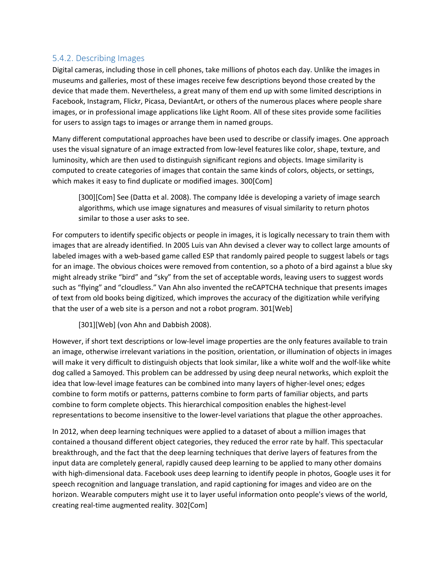## 5.4.2. Describing Images

Digital cameras, including those in cell phones, take millions of photos each day. Unlike the images in museums and galleries, most of these images receive few descriptions beyond those created by the device that made them. Nevertheless, a great many of them end up with some limited descriptions in Facebook, Instagram, Flickr, Picasa, DeviantArt, or others of the numerous places where people share images, or in professional image applications like Light Room. All of these sites provide some facilities for users to assign tags to images or arrange them in named groups.

Many different computational approaches have been used to describe or classify images. One approach uses the visual signature of an image extracted from low‐level features like color, shape, texture, and luminosity, which are then used to distinguish significant regions and objects. Image similarity is computed to create categories of images that contain the same kinds of colors, objects, or settings, which makes it easy to find duplicate or modified images. 300[Com]

[300][Com] See (Datta et al. 2008). The company Idée is developing a variety of image search algorithms, which use image signatures and measures of visual similarity to return photos similar to those a user asks to see.

For computers to identify specific objects or people in images, it is logically necessary to train them with images that are already identified. In 2005 Luis van Ahn devised a clever way to collect large amounts of labeled images with a web‐based game called ESP that randomly paired people to suggest labels or tags for an image. The obvious choices were removed from contention, so a photo of a bird against a blue sky might already strike "bird" and "sky" from the set of acceptable words, leaving users to suggest words such as "flying" and "cloudless." Van Ahn also invented the reCAPTCHA technique that presents images of text from old books being digitized, which improves the accuracy of the digitization while verifying that the user of a web site is a person and not a robot program. 301[Web]

[301][Web] (von Ahn and Dabbish 2008).

However, if short text descriptions or low-level image properties are the only features available to train an image, otherwise irrelevant variations in the position, orientation, or illumination of objects in images will make it very difficult to distinguish objects that look similar, like a white wolf and the wolf-like white dog called a Samoyed. This problem can be addressed by using deep neural networks, which exploit the idea that low‐level image features can be combined into many layers of higher‐level ones; edges combine to form motifs or patterns, patterns combine to form parts of familiar objects, and parts combine to form complete objects. This hierarchical composition enables the highest‐level representations to become insensitive to the lower‐level variations that plague the other approaches.

In 2012, when deep learning techniques were applied to a dataset of about a million images that contained a thousand different object categories, they reduced the error rate by half. This spectacular breakthrough, and the fact that the deep learning techniques that derive layers of features from the input data are completely general, rapidly caused deep learning to be applied to many other domains with high-dimensional data. Facebook uses deep learning to identify people in photos, Google uses it for speech recognition and language translation, and rapid captioning for images and video are on the horizon. Wearable computers might use it to layer useful information onto people's views of the world, creating real‐time augmented reality. 302[Com]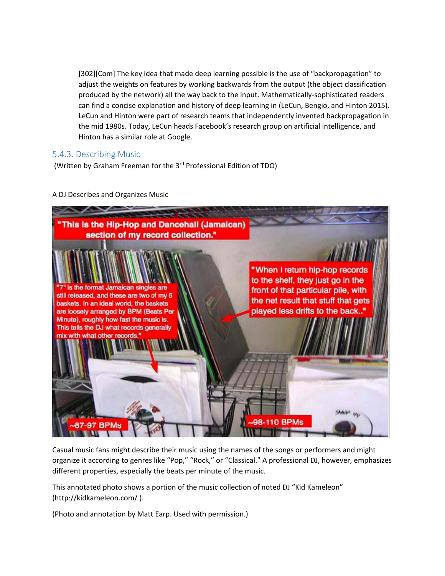[302][Com] The key idea that made deep learning possible is the use of "backpropagation" to adjust the weights on features by working backwards from the output (the object classification produced by the network) all the way back to the input. Mathematically‐sophisticated readers can find a concise explanation and history of deep learning in (LeCun, Bengio, and Hinton 2015). LeCun and Hinton were part of research teams that independently invented backpropagation in the mid 1980s. Today, LeCun heads Facebook's research group on artificial intelligence, and Hinton has a similar role at Google.

## 5.4.3. Describing Music

(Written by Graham Freeman for the 3rd Professional Edition of TDO)

## A DJ Describes and Organizes Music



Casual music fans might describe their music using the names of the songs or performers and might organize it according to genres like "Pop," "Rock," or "Classical." A professional DJ, however, emphasizes different properties, especially the beats per minute of the music.

This annotated photo shows a portion of the music collection of noted DJ "Kid Kameleon" (http://kidkameleon.com/ ).

(Photo and annotation by Matt Earp. Used with permission.)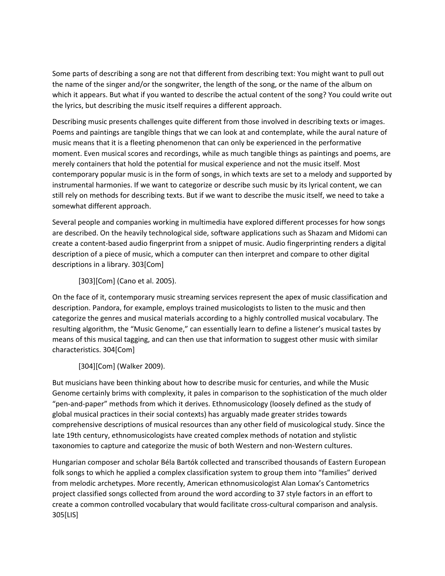Some parts of describing a song are not that different from describing text: You might want to pull out the name of the singer and/or the songwriter, the length of the song, or the name of the album on which it appears. But what if you wanted to describe the actual content of the song? You could write out the lyrics, but describing the music itself requires a different approach.

Describing music presents challenges quite different from those involved in describing texts or images. Poems and paintings are tangible things that we can look at and contemplate, while the aural nature of music means that it is a fleeting phenomenon that can only be experienced in the performative moment. Even musical scores and recordings, while as much tangible things as paintings and poems, are merely containers that hold the potential for musical experience and not the music itself. Most contemporary popular music is in the form of songs, in which texts are set to a melody and supported by instrumental harmonies. If we want to categorize or describe such music by its lyrical content, we can still rely on methods for describing texts. But if we want to describe the music itself, we need to take a somewhat different approach.

Several people and companies working in multimedia have explored different processes for how songs are described. On the heavily technological side, software applications such as Shazam and Midomi can create a content‐based audio fingerprint from a snippet of music. Audio fingerprinting renders a digital description of a piece of music, which a computer can then interpret and compare to other digital descriptions in a library. 303[Com]

[303][Com] (Cano et al. 2005).

On the face of it, contemporary music streaming services represent the apex of music classification and description. Pandora, for example, employs trained musicologists to listen to the music and then categorize the genres and musical materials according to a highly controlled musical vocabulary. The resulting algorithm, the "Music Genome," can essentially learn to define a listener's musical tastes by means of this musical tagging, and can then use that information to suggest other music with similar characteristics. 304[Com]

[304][Com] (Walker 2009).

But musicians have been thinking about how to describe music for centuries, and while the Music Genome certainly brims with complexity, it pales in comparison to the sophistication of the much older "pen-and-paper" methods from which it derives. Ethnomusicology (loosely defined as the study of global musical practices in their social contexts) has arguably made greater strides towards comprehensive descriptions of musical resources than any other field of musicological study. Since the late 19th century, ethnomusicologists have created complex methods of notation and stylistic taxonomies to capture and categorize the music of both Western and non‐Western cultures.

Hungarian composer and scholar Béla Bartók collected and transcribed thousands of Eastern European folk songs to which he applied a complex classification system to group them into "families" derived from melodic archetypes. More recently, American ethnomusicologist Alan Lomax's Cantometrics project classified songs collected from around the word according to 37 style factors in an effort to create a common controlled vocabulary that would facilitate cross‐cultural comparison and analysis. 305[LIS]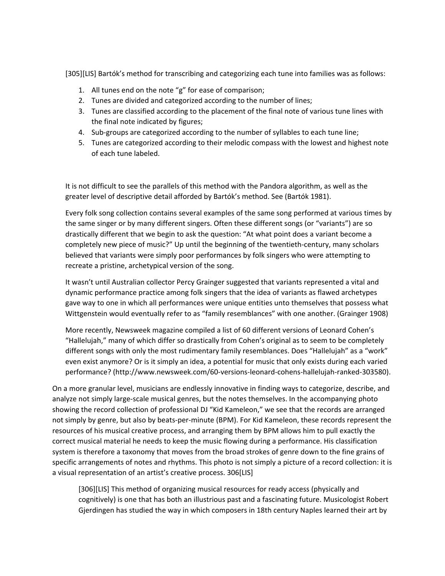[305][LIS] Bartók's method for transcribing and categorizing each tune into families was as follows:

- 1. All tunes end on the note "g" for ease of comparison;
- 2. Tunes are divided and categorized according to the number of lines;
- 3. Tunes are classified according to the placement of the final note of various tune lines with the final note indicated by figures;
- 4. Sub‐groups are categorized according to the number of syllables to each tune line;
- 5. Tunes are categorized according to their melodic compass with the lowest and highest note of each tune labeled.

It is not difficult to see the parallels of this method with the Pandora algorithm, as well as the greater level of descriptive detail afforded by Bartók's method. See (Bartók 1981).

Every folk song collection contains several examples of the same song performed at various times by the same singer or by many different singers. Often these different songs (or "variants") are so drastically different that we begin to ask the question: "At what point does a variant become a completely new piece of music?" Up until the beginning of the twentieth‐century, many scholars believed that variants were simply poor performances by folk singers who were attempting to recreate a pristine, archetypical version of the song.

It wasn't until Australian collector Percy Grainger suggested that variants represented a vital and dynamic performance practice among folk singers that the idea of variants as flawed archetypes gave way to one in which all performances were unique entities unto themselves that possess what Wittgenstein would eventually refer to as "family resemblances" with one another. (Grainger 1908)

More recently, Newsweek magazine compiled a list of 60 different versions of Leonard Cohen's "Hallelujah," many of which differ so drastically from Cohen's original as to seem to be completely different songs with only the most rudimentary family resemblances. Does "Hallelujah" as a "work" even exist anymore? Or is it simply an idea, a potential for music that only exists during each varied performance? (http://www.newsweek.com/60‐versions‐leonard‐cohens‐hallelujah‐ranked‐303580).

On a more granular level, musicians are endlessly innovative in finding ways to categorize, describe, and analyze not simply large‐scale musical genres, but the notes themselves. In the accompanying photo showing the record collection of professional DJ "Kid Kameleon," we see that the records are arranged not simply by genre, but also by beats-per-minute (BPM). For Kid Kameleon, these records represent the resources of his musical creative process, and arranging them by BPM allows him to pull exactly the correct musical material he needs to keep the music flowing during a performance. His classification system is therefore a taxonomy that moves from the broad strokes of genre down to the fine grains of specific arrangements of notes and rhythms. This photo is not simply a picture of a record collection: it is a visual representation of an artist's creative process. 306[LIS]

[306][LIS] This method of organizing musical resources for ready access (physically and cognitively) is one that has both an illustrious past and a fascinating future. Musicologist Robert Gjerdingen has studied the way in which composers in 18th century Naples learned their art by